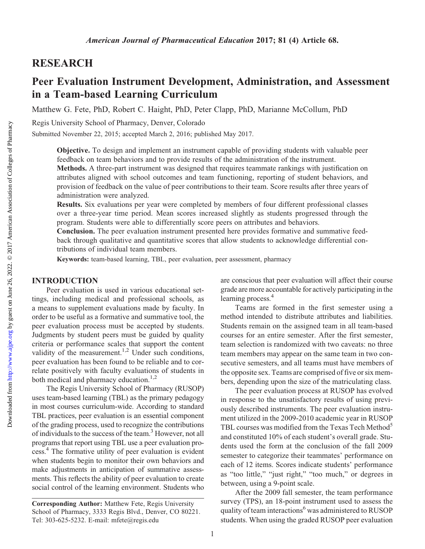## RESEARCH

# Peer Evaluation Instrument Development, Administration, and Assessment in a Team-based Learning Curriculum

Matthew G. Fete, PhD, Robert C. Haight, PhD, Peter Clapp, PhD, Marianne McCollum, PhD

Regis University School of Pharmacy, Denver, Colorado

Submitted November 22, 2015; accepted March 2, 2016; published May 2017.

Objective. To design and implement an instrument capable of providing students with valuable peer feedback on team behaviors and to provide results of the administration of the instrument.

Methods. A three-part instrument was designed that requires teammate rankings with justification on attributes aligned with school outcomes and team functioning, reporting of student behaviors, and provision of feedback on the value of peer contributions to their team. Score results after three years of administration were analyzed.

Results. Six evaluations per year were completed by members of four different professional classes over a three-year time period. Mean scores increased slightly as students progressed through the program. Students were able to differentially score peers on attributes and behaviors.

Conclusion. The peer evaluation instrument presented here provides formative and summative feedback through qualitative and quantitative scores that allow students to acknowledge differential contributions of individual team members.

Keywords: team-based learning, TBL, peer evaluation, peer assessment, pharmacy

## INTRODUCTION

Peer evaluation is used in various educational settings, including medical and professional schools, as a means to supplement evaluations made by faculty. In order to be useful as a formative and summative tool, the peer evaluation process must be accepted by students. Judgments by student peers must be guided by quality criteria or performance scales that support the content validity of the measurement.<sup>1,2</sup> Under such conditions, peer evaluation has been found to be reliable and to correlate positively with faculty evaluations of students in both medical and pharmacy education.<sup>1,2</sup>

The Regis University School of Pharmacy (RUSOP) uses team-based learning (TBL) as the primary pedagogy in most courses curriculum-wide. According to standard TBL practices, peer evaluation is an essential component of the grading process, used to recognize the contributions of individuals to the success of the team.3 However, not all programs that report using TBL use a peer evaluation process.4 The formative utility of peer evaluation is evident when students begin to monitor their own behaviors and make adjustments in anticipation of summative assessments. This reflects the ability of peer evaluation to create social control of the learning environment. Students who

are conscious that peer evaluation will affect their course grade are more accountable for actively participating in the learning process.<sup>4</sup>

Teams are formed in the first semester using a method intended to distribute attributes and liabilities. Students remain on the assigned team in all team-based courses for an entire semester. After the first semester, team selection is randomized with two caveats: no three team members may appear on the same team in two consecutive semesters, and all teams must have members of the opposite sex. Teams are comprised of five or six members, depending upon the size of the matriculating class.

The peer evaluation process at RUSOP has evolved in response to the unsatisfactory results of using previously described instruments. The peer evaluation instrument utilized in the 2009-2010 academic year in RUSOP TBL courses was modified from the Texas Tech Method<sup>5</sup> and constituted 10% of each student's overall grade. Students used the form at the conclusion of the fall 2009 semester to categorize their teammates' performance on each of 12 items. Scores indicate students' performance as "too little," "just right," "too much," or degrees in between, using a 9-point scale.

After the 2009 fall semester, the team performance survey (TPS), an 18-point instrument used to assess the quality of team interactions<sup>6</sup> was administered to RUSOP students. When using the graded RUSOP peer evaluation

Corresponding Author: Matthew Fete, Regis University School of Pharmacy, 3333 Regis Blvd., Denver, CO 80221. Tel: 303-625-5232. E-mail: [mfete@regis.edu](mailto:mfete@regis.edu)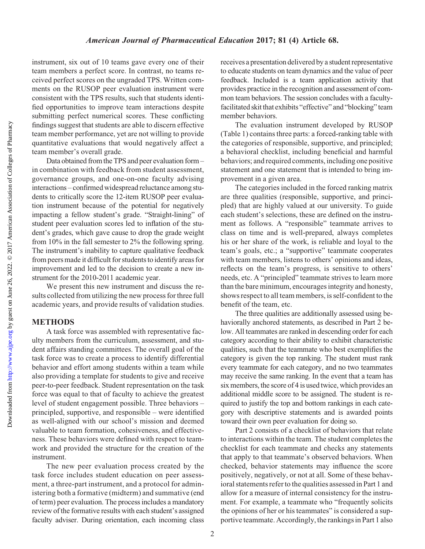Downloaded from

instrument, six out of 10 teams gave every one of their team members a perfect score. In contrast, no teams received perfect scores on the ungraded TPS. Written comments on the RUSOP peer evaluation instrument were consistent with the TPS results, such that students identified opportunities to improve team interactions despite submitting perfect numerical scores. These conflicting findings suggest that students are able to discern effective team member performance, yet are not willing to provide quantitative evaluations that would negatively affect a team member's overall grade.

Data obtained fromthe TPS and peer evaluation form – in combination with feedback from student assessment, governance groups, and one-on-one faculty advising interactions – confirmed widespread reluctance among students to critically score the 12-item RUSOP peer evaluation instrument because of the potential for negatively impacting a fellow student's grade. "Straight-lining" of student peer evaluation scores led to inflation of the student's grades, which gave cause to drop the grade weight from 10% in the fall semester to 2% the following spring. The instrument's inability to capture qualitative feedback from peers made it difficult for students to identify areas for improvement and led to the decision to create a new instrument for the 2010-2011 academic year.

We present this new instrument and discuss the results collected from utilizing the new process for three full academic years, and provide results of validation studies.

## **METHODS**

A task force was assembled with representative faculty members from the curriculum, assessment, and student affairs standing committees. The overall goal of the task force was to create a process to identify differential behavior and effort among students within a team while also providing a template for students to give and receive peer-to-peer feedback. Student representation on the task force was equal to that of faculty to achieve the greatest level of student engagement possible. Three behaviors – principled, supportive, and responsible – were identified as well-aligned with our school's mission and deemed valuable to team formation, cohesiveness, and effectiveness. These behaviors were defined with respect to teamwork and provided the structure for the creation of the instrument.

The new peer evaluation process created by the task force includes student education on peer assessment, a three-part instrument, and a protocol for administering both a formative (midterm) and summative (end of term) peer evaluation. The process includes a mandatory review of the formative results with each student's assigned faculty adviser. During orientation, each incoming class receives a presentation delivered by a student representative to educate students on team dynamics and the value of peer feedback. Included is a team application activity that provides practice in the recognition and assessment of common team behaviors. The session concludes with a facultyfacilitated skit that exhibits "effective" and "blocking" team member behaviors.

The evaluation instrument developed by RUSOP (Table 1) contains three parts: a forced-ranking table with the categories of responsible, supportive, and principled; a behavioral checklist, including beneficial and harmful behaviors; and required comments, including one positive statement and one statement that is intended to bring improvement in a given area.

The categories included in the forced ranking matrix are three qualities (responsible, supportive, and principled) that are highly valued at our university. To guide each student's selections, these are defined on the instrument as follows. A "responsible" teammate arrives to class on time and is well-prepared, always completes his or her share of the work, is reliable and loyal to the team's goals, etc.; a "supportive" teammate cooperates with team members, listens to others' opinions and ideas, reflects on the team's progress, is sensitive to others' needs, etc. A "principled" teammate strives to learn more than the bare minimum, encourages integrity and honesty, shows respect to all team members, is self-confident to the benefit of the team, etc.

The three qualities are additionally assessed using behaviorally anchored statements, as described in Part 2 below. All teammates are ranked in descending order for each category according to their ability to exhibit characteristic qualities, such that the teammate who best exemplifies the category is given the top ranking. The student must rank every teammate for each category, and no two teammates may receive the same ranking. In the event that a team has six members, the score of 4 is used twice, which provides an additional middle score to be assigned. The student is required to justify the top and bottom rankings in each category with descriptive statements and is awarded points toward their own peer evaluation for doing so.

Part 2 consists of a checklist of behaviors that relate to interactions within the team. The student completes the checklist for each teammate and checks any statements that apply to that teammate's observed behaviors. When checked, behavior statements may influence the score positively, negatively, or not at all. Some of these behavioral statements refer to the qualities assessed in Part 1 and allow for a measure of internal consistency for the instrument. For example, a teammate who "frequently solicits the opinions of her or his teammates" is considered a supportive teammate. Accordingly, the rankings in Part 1 also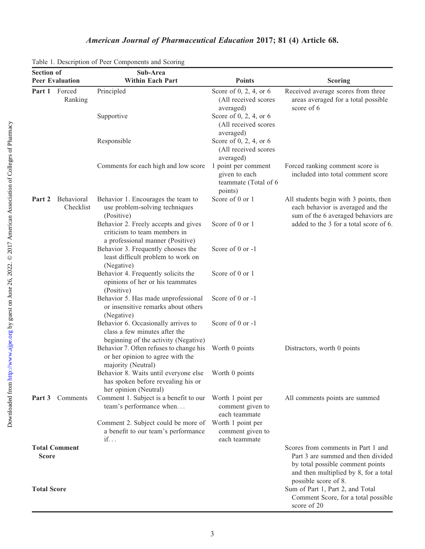|                    |                         | Table 1. Description of Peer Components and Scoring                                                          |                                                                                                                    |                                                                                                                                                                               |
|--------------------|-------------------------|--------------------------------------------------------------------------------------------------------------|--------------------------------------------------------------------------------------------------------------------|-------------------------------------------------------------------------------------------------------------------------------------------------------------------------------|
| <b>Section of</b>  |                         | Sub-Area                                                                                                     |                                                                                                                    |                                                                                                                                                                               |
|                    | <b>Peer Evaluation</b>  | <b>Within Each Part</b>                                                                                      | <b>Points</b>                                                                                                      | <b>Scoring</b>                                                                                                                                                                |
| Part 1             | Forced<br>Ranking       | Principled                                                                                                   | Score of 0, 2, 4, or 6<br>(All received scores<br>averaged)                                                        | Received average scores from three<br>areas averaged for a total possible<br>score of 6                                                                                       |
|                    |                         | Supportive                                                                                                   | Score of 0, 2, 4, or 6<br>(All received scores<br>averaged)                                                        |                                                                                                                                                                               |
|                    |                         | Responsible                                                                                                  | Score of 0, 2, 4, or 6<br>(All received scores<br>averaged)                                                        |                                                                                                                                                                               |
|                    |                         | Comments for each high and low score                                                                         | 1 point per comment<br>given to each<br>teammate (Total of 6<br>points)                                            | Forced ranking comment score is<br>included into total comment score                                                                                                          |
| Part 2             | Behavioral<br>Checklist | Behavior 1. Encourages the team to<br>use problem-solving techniques<br>(Positive)                           | All students begin with 3 points, then<br>each behavior is averaged and the<br>sum of the 6 averaged behaviors are |                                                                                                                                                                               |
|                    |                         | Behavior 2. Freely accepts and gives<br>criticism to team members in<br>a professional manner (Positive)     | Score of 0 or 1                                                                                                    | added to the 3 for a total score of 6.                                                                                                                                        |
|                    |                         | Behavior 3. Frequently chooses the<br>least difficult problem to work on<br>(Negative)                       | Score of 0 or -1                                                                                                   |                                                                                                                                                                               |
|                    |                         | Behavior 4. Frequently solicits the<br>opinions of her or his teammates<br>(Positive)                        | Score of 0 or 1                                                                                                    |                                                                                                                                                                               |
|                    |                         | Behavior 5. Has made unprofessional<br>or insensitive remarks about others<br>(Negative)                     | Score of 0 or -1                                                                                                   |                                                                                                                                                                               |
|                    |                         | Behavior 6. Occasionally arrives to<br>class a few minutes after the<br>beginning of the activity (Negative) | Score of 0 or -1                                                                                                   |                                                                                                                                                                               |
|                    |                         | Behavior 7. Often refuses to change his<br>or her opinion to agree with the<br>majority (Neutral)            | Worth 0 points                                                                                                     | Distractors, worth 0 points                                                                                                                                                   |
|                    |                         | Behavior 8. Waits until everyone else<br>has spoken before revealing his or<br>her opinion (Neutral)         | Worth 0 points                                                                                                     |                                                                                                                                                                               |
| Part 3             | Comments                | Comment 1. Subject is a benefit to our<br>team's performance when                                            | Worth 1 point per<br>comment given to<br>each teammate                                                             | All comments points are summed                                                                                                                                                |
|                    |                         | Comment 2. Subject could be more of<br>a benefit to our team's performance<br>$if. \n.$                      | Worth 1 point per<br>comment given to<br>each teammate                                                             |                                                                                                                                                                               |
| <b>Score</b>       | <b>Total Comment</b>    |                                                                                                              |                                                                                                                    | Scores from comments in Part 1 and<br>Part 3 are summed and then divided<br>by total possible comment points<br>and then multiplied by 8, for a total<br>possible score of 8. |
| <b>Total Score</b> |                         |                                                                                                              |                                                                                                                    | Sum of Part 1, Part 2, and Total<br>Comment Score, for a total possible<br>score of 20                                                                                        |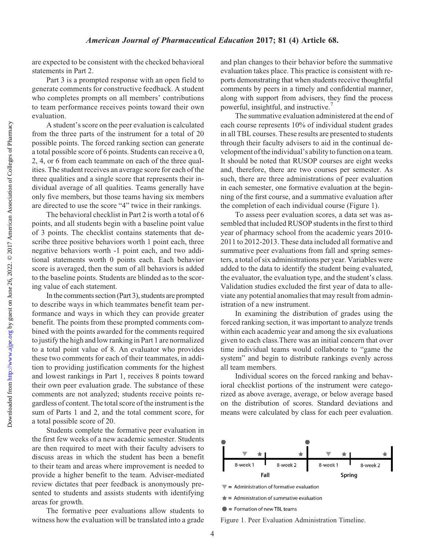are expected to be consistent with the checked behavioral statements in Part 2.

Part 3 is a prompted response with an open field to generate comments for constructive feedback. A student who completes prompts on all members' contributions to team performance receives points toward their own evaluation.

A student's score on the peer evaluation is calculated from the three parts of the instrument for a total of 20 possible points. The forced ranking section can generate a total possible score of 6 points. Students can receive a 0, 2, 4, or 6 from each teammate on each of the three qualities. The student receives an average score for each of the three qualities and a single score that represents their individual average of all qualities. Teams generally have only five members, but those teams having six members are directed to use the score "4" twice in their rankings.

The behavioral checklist in Part 2 is worth a total of 6 points, and all students begin with a baseline point value of 3 points. The checklist contains statements that describe three positive behaviors worth 1 point each, three negative behaviors worth -1 point each, and two additional statements worth 0 points each. Each behavior score is averaged, then the sum of all behaviors is added to the baseline points. Students are blinded as to the scoring value of each statement.

In the comments section (Part 3), students are prompted to describe ways in which teammates benefit team performance and ways in which they can provide greater benefit. The points from these prompted comments combined with the points awarded for the comments required to justify the high and low ranking in Part 1 are normalized to a total point value of 8. An evaluator who provides these two comments for each of their teammates, in addition to providing justification comments for the highest and lowest rankings in Part 1, receives 8 points toward their own peer evaluation grade. The substance of these comments are not analyzed; students receive points regardless of content. The total score of the instrument is the sum of Parts 1 and 2, and the total comment score, for a total possible score of 20.

Students complete the formative peer evaluation in the first few weeks of a new academic semester. Students are then required to meet with their faculty advisers to discuss areas in which the student has been a benefit to their team and areas where improvement is needed to provide a higher benefit to the team. Adviser-mediated review dictates that peer feedback is anonymously presented to students and assists students with identifying areas for growth.

The formative peer evaluations allow students to witness how the evaluation will be translated into a grade and plan changes to their behavior before the summative evaluation takes place. This practice is consistent with reports demonstrating that when students receive thoughtful comments by peers in a timely and confidential manner, along with support from advisers, they find the process powerful, insightful, and instructive.<sup>7</sup>

The summative evaluation administered at the end of each course represents 10% of individual student grades in all TBL courses. These results are presented to students through their faculty advisers to aid in the continual development of the individual's ability to function on a team. It should be noted that RUSOP courses are eight weeks and, therefore, there are two courses per semester. As such, there are three administrations of peer evaluation in each semester, one formative evaluation at the beginning of the first course, and a summative evaluation after the completion of each individual course (Figure 1).

To assess peer evaluation scores, a data set was assembled that included RUSOP students in the first to third year of pharmacy school from the academic years 2010- 2011 to 2012-2013. These data included all formative and summative peer evaluations from fall and spring semesters, a total of six administrations per year. Variables were added to the data to identify the student being evaluated, the evaluator, the evaluation type, and the student's class. Validation studies excluded the first year of data to alleviate any potential anomalies that may result from administration of a new instrument.

In examining the distribution of grades using the forced ranking section, it was important to analyze trends within each academic year and among the six evaluations given to each class.There was an initial concern that over time individual teams would collaborate to "game the system" and begin to distribute rankings evenly across all team members.

Individual scores on the forced ranking and behavioral checklist portions of the instrument were categorized as above average, average, or below average based on the distribution of scores. Standard deviations and means were calculated by class for each peer evaluation.



 $\blacktriangledown$  = Administration of formative evaluation

 $\triangleq$  = Administration of summative evaluation

 $\bullet$  = Formation of new TBL teams

Figure 1. Peer Evaluation Administration Timeline.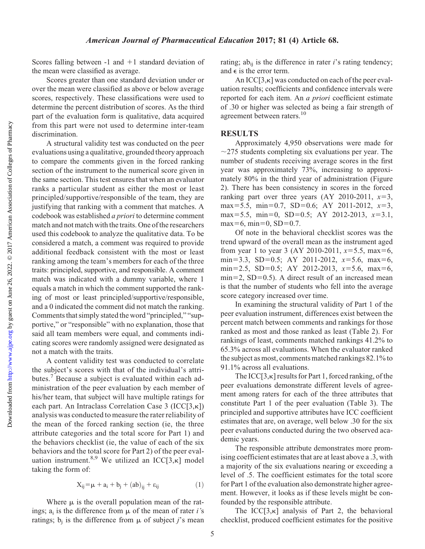Scores falling between  $-1$  and  $+1$  standard deviation of the mean were classified as average.

Scores greater than one standard deviation under or over the mean were classified as above or below average scores, respectively. These classifications were used to determine the percent distribution of scores. As the third part of the evaluation form is qualitative, data acquired from this part were not used to determine inter-team discrimination.

A structural validity test was conducted on the peer evaluations using a qualitative, grounded theory approach to compare the comments given in the forced ranking section of the instrument to the numerical score given in the same section. This test ensures that when an evaluator ranks a particular student as either the most or least principled/supportive/responsible of the team, they are justifying that ranking with a comment that matches. A codebook was established a priori to determine comment match and not match with the traits. One of the researchers used this codebook to analyze the qualitative data. To be considered a match, a comment was required to provide additional feedback consistent with the most or least ranking among the team's members for each of the three traits: principled, supportive, and responsible. A comment match was indicated with a dummy variable, where 1 equals a match in which the comment supported the ranking of most or least principled/supportive/responsible, and a 0 indicated the comment did not match the ranking. Comments that simply stated the word "principled," "supportive," or "responsible" with no explanation, those that said all team members were equal, and comments indicating scores were randomly assigned were designated as not a match with the traits.

A content validity test was conducted to correlate the subject's scores with that of the individual's attributes.<sup>7</sup> Because a subject is evaluated within each administration of the peer evaluation by each member of his/her team, that subject will have multiple ratings for each part. An Intraclass Correlation Case 3 (ICC[3,k]) analysis was conducted to measure the rater reliability of the mean of the forced ranking section (ie, the three attribute categories and the total score for Part 1) and the behaviors checklist (ie, the value of each of the six behaviors and the total score for Part 2) of the peer evaluation instrument.<sup>8,9</sup> We utilized an ICC[3, $\kappa$ ] model taking the form of:

$$
X_{ij} = \mu + a_i + b_j + (ab)_{ij} + \epsilon_{ij}
$$
 (1)

Where  $\mu$  is the overall population mean of the ratings;  $a_i$  is the difference from  $\mu$  of the mean of rater *i*'s ratings;  $b_i$  is the difference from  $\mu$  of subject j's mean rating; ab<sub>ij</sub> is the difference in rater *i*'s rating tendency; and  $\epsilon$  is the error term.

An  $ICC[3,\kappa]$  was conducted on each of the peer evaluation results; coefficients and confidence intervals were reported for each item. An a priori coefficient estimate of .30 or higher was selected as being a fair strength of agreement between raters.<sup>10</sup>

## **RESULTS**

Approximately 4,950 observations were made for  $\sim$ 275 students completing six evaluations per year. The number of students receiving average scores in the first year was approximately 73%, increasing to approximately 80% in the third year of administration (Figure 2). There has been consistency in scores in the forced ranking part over three years  $(AY 2010-2011, x=3,$ max=5.5, min=0.7, SD=0.6; AY 2011-2012,  $x=3$ , max=5.5, min=0, SD=0.5; AY 2012-2013,  $x=3.1$ , max=6, min=0,  $SD=0.7$ .

Of note in the behavioral checklist scores was the trend upward of the overall mean as the instrument aged from year 1 to year 3 (AY 2010-2011,  $x=5.5$ , max=6, min=3.3, SD=0.5; AY 2011-2012,  $x=5.6$ , max=6, min=2.5, SD=0.5; AY 2012-2013,  $x=5.6$ , max=6,  $min=2$ , SD=0.5). A direct result of an increased mean is that the number of students who fell into the average score category increased over time.

In examining the structural validity of Part 1 of the peer evaluation instrument, differences exist between the percent match between comments and rankings for those ranked as most and those ranked as least (Table 2). For rankings of least, comments matched rankings 41.2% to 65.3% across all evaluations. When the evaluator ranked the subject as most, comments matched rankings 82.1% to 91.1% across all evaluations.

The  $ICC[3,\kappa]$  results for Part 1, forced ranking, of the peer evaluations demonstrate different levels of agreement among raters for each of the three attributes that constitute Part 1 of the peer evaluation (Table 3). The principled and supportive attributes have ICC coefficient estimates that are, on average, well below .30 for the six peer evaluations conducted during the two observed academic years.

The responsible attribute demonstrates more promising coefficient estimates that are at least above a .3, with a majority of the six evaluations nearing or exceeding a level of .5. The coefficient estimates for the total score for Part 1 of the evaluation also demonstrate higher agreement. However, it looks as if these levels might be confounded by the responsible attribute.

The ICC $[3,\kappa]$  analysis of Part 2, the behavioral checklist, produced coefficient estimates for the positive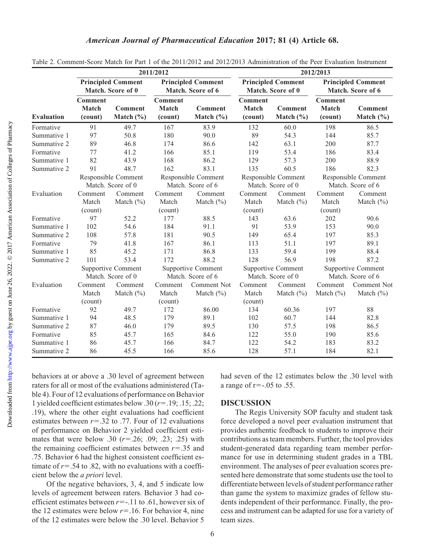|                   |                                                |                                 | 2011/2012                                      |                                 | 2012/2013                                      |                                 |                                                |                                 |  |
|-------------------|------------------------------------------------|---------------------------------|------------------------------------------------|---------------------------------|------------------------------------------------|---------------------------------|------------------------------------------------|---------------------------------|--|
|                   | <b>Principled Comment</b><br>Match. Score of 0 |                                 | <b>Principled Comment</b><br>Match. Score of 6 |                                 | <b>Principled Comment</b><br>Match. Score of 0 |                                 | <b>Principled Comment</b><br>Match. Score of 6 |                                 |  |
| <b>Evaluation</b> | <b>Comment</b><br><b>Match</b><br>(count)      | <b>Comment</b><br>Match $(\% )$ | <b>Comment</b><br><b>Match</b><br>(count)      | <b>Comment</b><br>Match $(\% )$ | <b>Comment</b><br><b>Match</b><br>(count)      | <b>Comment</b><br>Match $(\% )$ | <b>Comment</b><br>Match<br>(count)             | <b>Comment</b><br>Match $(\% )$ |  |
| Formative         | 91                                             | 49.7                            | 167                                            | 83.9                            | 132                                            | 60.0                            | 198                                            | 86.5                            |  |
| Summative 1       | 97                                             | 50.8                            | 180                                            | 90.0                            | 89                                             | 54.3                            | 144                                            | 85.7                            |  |
| Summative 2       | 89                                             | 46.8                            | 174                                            | 86.6                            | 142                                            | 63.1                            | 200                                            | 87.7                            |  |
| Formative         | 77                                             | 41.2                            | 166                                            | 85.1                            | 119                                            | 53.4                            | 186                                            | 83.4                            |  |
| Summative 1       | 82                                             | 43.9                            | 168                                            | 86.2                            | 129                                            | 57.3                            | 200                                            | 88.9                            |  |
| Summative 2       | 91                                             | 48.7                            | 162                                            | 83.1                            | 135                                            | 60.5                            | 186                                            | 82.3                            |  |
|                   | Responsible Comment<br>Match. Score of 0       |                                 | Responsible Comment<br>Match. Score of 6       |                                 | Responsible Comment<br>Match. Score of 0       |                                 | Responsible Comment<br>Match. Score of 6       |                                 |  |
| Evaluation        | Comment                                        | Comment                         | Comment                                        | Comment                         | Comment                                        | Comment                         | Comment                                        | Comment                         |  |
|                   | Match                                          | Match $(\% )$                   | Match                                          | Match $(\% )$                   | Match                                          | Match $(\% )$                   | Match                                          | Match $(\% )$                   |  |
|                   | (count)                                        |                                 | (count)                                        |                                 |                                                | (count)                         |                                                | (count)                         |  |
| Formative         | 97                                             | 52.2                            | 177                                            | 88.5                            | 143                                            | 63.6                            | 202                                            | 90.6                            |  |
| Summative 1       | 102                                            | 54.6                            | 184                                            | 91.1                            | 91                                             | 53.9                            | 153                                            | 90.0                            |  |
| Summative 2       | 108                                            | 57.8                            | 181                                            | 90.5                            | 149                                            | 65.4                            | 197                                            | 85.3                            |  |
| Formative         | 79                                             | 41.8                            | 167                                            | 86.1                            | 113                                            | 51.1                            | 197                                            | 89.1                            |  |
| Summative 1       | 85                                             | 45.2                            | 171                                            | 86.8                            | 133                                            | 59.4                            | 199                                            | 88.4                            |  |
| Summative 2       | 101                                            | 53.4                            | 172                                            | 88.2                            | 128                                            | 56.9                            | 198                                            | 87.2                            |  |
|                   | <b>Supportive Comment</b><br>Match. Score of 0 |                                 | Supportive Comment<br>Match. Score of 6        |                                 | Supportive Comment<br>Match. Score of 0        |                                 | Supportive Comment<br>Match. Score of 6        |                                 |  |
| Evaluation        | Comment                                        | Comment                         | Comment                                        | Comment Not                     | Comment                                        | Comment                         | Comment                                        | Comment Not                     |  |
|                   | Match                                          | Match $(\% )$                   | Match                                          | Match $(\% )$                   | Match                                          | Match $(\% )$                   | Match $(\% )$                                  | Match $(\% )$                   |  |
|                   | (count)                                        |                                 | (count)                                        |                                 | (count)                                        |                                 |                                                |                                 |  |
| Formative         | 92                                             | 49.7                            | 172                                            | 86.00                           | 134                                            | 60.36                           | 197                                            | 88                              |  |
| Summative 1       | 94                                             | 48.5                            | 179                                            | 89.1                            | 102                                            | 60.7                            | 144                                            | 82.8                            |  |
| Summative 2       | 87                                             | 46.0                            | 179                                            | 89.5                            | 130                                            | 57.5                            | 198                                            | 86.5                            |  |
| Formative         | 85                                             | 45.7                            | 165                                            | 84.6                            | 122                                            | 55.0                            | 190                                            | 85.6                            |  |
| Summative 1       | 86                                             | 45.7                            | 166                                            | 84.7                            | 122                                            | 54.2                            | 183                                            | 83.2                            |  |
| Summative 2       | 86                                             | 45.5                            | 166                                            | 85.6                            | 128                                            | 57.1                            | 184                                            | 82.1                            |  |

Table 2. Comment-Score Match for Part 1 of the 2011/2012 and 2012/2013 Administration of the Peer Evaluation Instrument

behaviors at or above a .30 level of agreement between raters for all or most of the evaluations administered (Table 4). Four of 12 evaluations of performance on Behavior 1 yielded coefficient estimates below .30  $(r=.19; .15; .22; )$ .19), where the other eight evaluations had coefficient estimates between  $r = .32$  to .77. Four of 12 evaluations of performance on Behavior 2 yielded coefficient estimates that were below .30  $(r=.26; .09; .23; .25)$  with the remaining coefficient estimates between  $r=0.35$  and .75. Behavior 6 had the highest consistent coefficient estimate of  $r = .54$  to .82, with no evaluations with a coefficient below the a priori level.

Of the negative behaviors, 3, 4, and 5 indicate low levels of agreement between raters. Behavior 3 had coefficient estimates between  $r=-.11$  to .61, however six of the 12 estimates were below  $r=16$ . For behavior 4, nine of the 12 estimates were below the .30 level. Behavior 5

had seven of the 12 estimates below the .30 level with a range of  $r=-.05$  to .55.

#### DISCUSSION

The Regis University SOP faculty and student task force developed a novel peer evaluation instrument that provides authentic feedback to students to improve their contributions as team members. Further, the tool provides student-generated data regarding team member performance for use in determining student grades in a TBL environment. The analyses of peer evaluation scores presented here demonstrate that some students use the tool to differentiate between levels of student performance rather than game the system to maximize grades of fellow students independent of their performance. Finally, the process and instrument can be adapted for use for a variety of team sizes.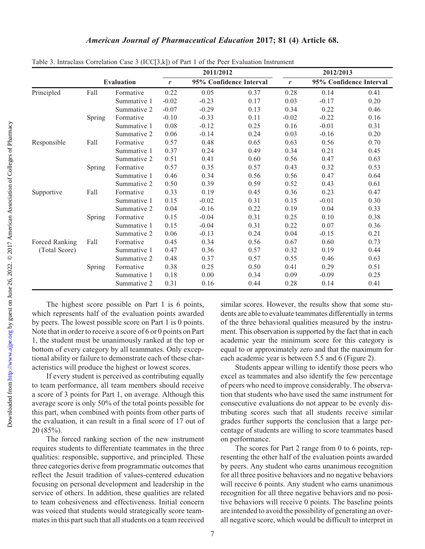|                |                   |             | 2011/2012 |                         |      | 2012/2013 |                         |      |  |
|----------------|-------------------|-------------|-----------|-------------------------|------|-----------|-------------------------|------|--|
|                | <b>Evaluation</b> |             | r         | 95% Confidence Interval |      | r         | 95% Confidence Interval |      |  |
| Principled     | Fall              | Formative   | 0.22      | 0.05                    | 0.37 | 0.28      | 0.14                    | 0.41 |  |
|                |                   | Summative 1 | $-0.02$   | $-0.23$                 | 0.17 | 0.03      | $-0.17$                 | 0.20 |  |
|                |                   | Summative 2 | $-0.07$   | $-0.29$                 | 0.13 | 0.34      | 0.22                    | 0.46 |  |
|                | Spring            | Formative   | $-0.10$   | $-0.33$                 | 0.11 | $-0.02$   | $-0.22$                 | 0.16 |  |
|                |                   | Summative 1 | 0.08      | $-0.12$                 | 0.25 | 0.16      | $-0.01$                 | 0.31 |  |
|                |                   | Summative 2 | 0.06      | $-0.14$                 | 0.24 | 0.03      | $-0.16$                 | 0.20 |  |
| Responsible    | Fall              | Formative   | 0.57      | 0.48                    | 0.65 | 0.63      | 0.56                    | 0.70 |  |
|                |                   | Summative 1 | 0.37      | 0.24                    | 0.49 | 0.34      | 0.21                    | 0.45 |  |
|                |                   | Summative 2 | 0.51      | 0.41                    | 0.60 | 0.56      | 0.47                    | 0.63 |  |
|                | <b>Spring</b>     | Formative   | 0.57      | 0.35                    | 0.57 | 0.43      | 0.32                    | 0.53 |  |
|                |                   | Summative 1 | 0.46      | 0.34                    | 0.56 | 0.56      | 0.47                    | 0.64 |  |
|                |                   | Summative 2 | 0.50      | 0.39                    | 0.59 | 0.52      | 0.43                    | 0.61 |  |
| Supportive     | Fall              | Formative   | 0.33      | 0.19                    | 0.45 | 0.36      | 0.23                    | 0.47 |  |
|                |                   | Summative 1 | 0.15      | $-0.02$                 | 0.31 | 0.15      | $-0.01$                 | 0.30 |  |
|                |                   | Summative 2 | 0.04      | $-0.16$                 | 0.22 | 0.19      | 0.04                    | 0.33 |  |
|                | <b>Spring</b>     | Formative   | 0.15      | $-0.04$                 | 0.31 | 0.25      | 0.10                    | 0.38 |  |
|                |                   | Summative 1 | 0.15      | $-0.04$                 | 0.31 | 0.22      | 0.07                    | 0.36 |  |
|                |                   | Summative 2 | 0.06      | $-0.13$                 | 0.24 | 0.04      | $-0.15$                 | 0.21 |  |
| Forced Ranking | Fall              | Formative   | 0.45      | 0.34                    | 0.56 | 0.67      | 0.60                    | 0.73 |  |
| (Total Score)  |                   | Summative 1 | 0.47      | 0.36                    | 0.57 | 0.32      | 0.19                    | 0.44 |  |
|                |                   | Summative 2 | 0.48      | 0.37                    | 0.57 | 0.55      | 0.46                    | 0.63 |  |
|                | <b>Spring</b>     | Formative   | 0.38      | 0.25                    | 0.50 | 0.41      | 0.29                    | 0.51 |  |
|                |                   | Summative 1 | 0.18      | 0.00                    | 0.34 | 0.09      | $-0.09$                 | 0.25 |  |
|                |                   | Summative 2 | 0.31      | 0.16                    | 0.44 | 0.28      | 0.14                    | 0.41 |  |

Table 3. Intraclass Correlation Case 3 (ICC[3,k]) of Part 1 of the Peer Evaluation Instrument

The highest score possible on Part 1 is 6 points, which represents half of the evaluation points awarded by peers. The lowest possible score on Part 1 is 0 points. Note that in order to receive a score of 6 or 0 points on Part 1, the student must be unanimously ranked at the top or bottom of every category by all teammates. Only exceptional ability or failure to demonstrate each of these characteristics will produce the highest or lowest scores.

If every student is perceived as contributing equally to team performance, all team members should receive a score of 3 points for Part 1, on average. Although this average score is only 50% of the total points possible for this part, when combined with points from other parts of the evaluation, it can result in a final score of 17 out of 20 (85%).

The forced ranking section of the new instrument requires students to differentiate teammates in the three qualities: responsible, supportive, and principled. These three categories derive from programmatic outcomes that reflect the Jesuit tradition of values-centered education focusing on personal development and leadership in the service of others. In addition, these qualities are related to team cohesiveness and effectiveness. Initial concern was voiced that students would strategically score teammates in this part such that all students on a team received

similar scores. However, the results show that some students are able to evaluate teammates differentially in terms of the three behavioral qualities measured by the instrument. This observation is supported by the fact that in each academic year the minimum score for this category is equal to or approximately zero and that the maximum for each academic year is between 5.5 and 6 (Figure 2).

Students appear willing to identify those peers who excel as teammates and also identify the few percentage of peers who need to improve considerably. The observation that students who have used the same instrument for consecutive evaluations do not appear to be evenly distributing scores such that all students receive similar grades further supports the conclusion that a large percentage of students are willing to score teammates based on performance.

The scores for Part 2 range from 0 to 6 points, representing the other half of the evaluation points awarded by peers. Any student who earns unanimous recognition for all three positive behaviors and no negative behaviors will receive 6 points. Any student who earns unanimous recognition for all three negative behaviors and no positive behaviors will receive 0 points. The baseline points are intended to avoid the possibility of generating an overall negative score, which would be difficult to interpret in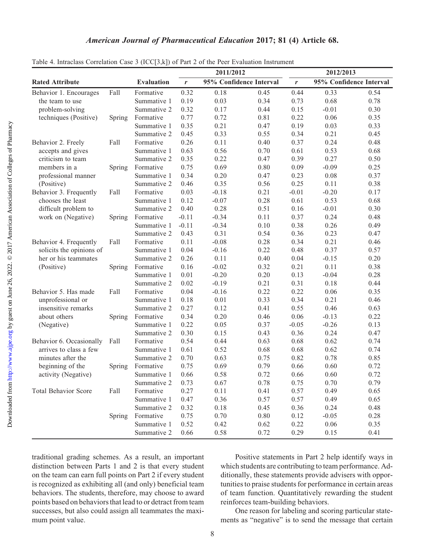|                             |        |                   | 2011/2012        |                         |      | 2012/2013 |                         |      |
|-----------------------------|--------|-------------------|------------------|-------------------------|------|-----------|-------------------------|------|
| <b>Rated Attribute</b>      |        | <b>Evaluation</b> | $\boldsymbol{r}$ | 95% Confidence Interval |      | r         | 95% Confidence Interval |      |
| Behavior 1. Encourages      | Fall   | Formative         | 0.32             | 0.18                    | 0.45 | 0.44      | 0.33                    | 0.54 |
| the team to use             |        | Summative 1       | 0.19             | 0.03                    | 0.34 | 0.73      | 0.68                    | 0.78 |
| problem-solving             |        | Summative 2       | 0.32             | 0.17                    | 0.44 | 0.15      | $-0.01$                 | 0.30 |
| techniques (Positive)       | Spring | Formative         | 0.77             | 0.72                    | 0.81 | 0.22      | 0.06                    | 0.35 |
|                             |        | Summative 1       | 0.35             | 0.21                    | 0.47 | 0.19      | 0.03                    | 0.33 |
|                             |        | Summative 2       | 0.45             | 0.33                    | 0.55 | 0.34      | 0.21                    | 0.45 |
| Behavior 2. Freely          | Fall   | Formative         | 0.26             | 0.11                    | 0.40 | 0.37      | 0.24                    | 0.48 |
| accepts and gives           |        | Summative 1       | 0.63             | 0.56                    | 0.70 | 0.61      | 0.53                    | 0.68 |
| criticism to team           |        | Summative 2       | 0.35             | 0.22                    | 0.47 | 0.39      | 0.27                    | 0.50 |
| members in a                | Spring | Formative         | 0.75             | 0.69                    | 0.80 | 0.09      | $-0.09$                 | 0.25 |
| professional manner         |        | Summative 1       | 0.34             | 0.20                    | 0.47 | 0.23      | 0.08                    | 0.37 |
| (Positive)                  |        | Summative 2       | 0.46             | 0.35                    | 0.56 | 0.25      | 0.11                    | 0.38 |
| Behavior 3. Frequently      | Fall   | Formative         | 0.03             | $-0.18$                 | 0.21 | $-0.01$   | $-0.20$                 | 0.17 |
| chooses the least           |        | Summative 1       | 0.12             | $-0.07$                 | 0.28 | 0.61      | 0.53                    | 0.68 |
| difficult problem to        |        | Summative 2       | 0.40             | 0.28                    | 0.51 | 0.16      | $-0.01$                 | 0.30 |
| work on (Negative)          | Spring | Formative         | $-0.11$          | $-0.34$                 | 0.11 | 0.37      | 0.24                    | 0.48 |
|                             |        | Summative 1       | $-0.11$          | $-0.34$                 | 0.10 | 0.38      | 0.26                    | 0.49 |
|                             |        | Summative 2       | 0.43             | 0.31                    | 0.54 | 0.36      | 0.23                    | 0.47 |
| Behavior 4. Frequently      | Fall   | Formative         | 0.11             | $-0.08$                 | 0.28 | 0.34      | 0.21                    | 0.46 |
| solicits the opinions of    |        | Summative 1       | 0.04             | $-0.16$                 | 0.22 | 0.48      | 0.37                    | 0.57 |
| her or his teammates        |        | Summative 2       | 0.26             | 0.11                    | 0.40 | 0.04      | $-0.15$                 | 0.20 |
| (Positive)                  | Spring | Formative         | 0.16             | $-0.02$                 | 0.32 | 0.21      | 0.11                    | 0.38 |
|                             |        | Summative 1       | 0.01             | $-0.20$                 | 0.20 | 0.13      | $-0.04$                 | 0.28 |
|                             |        | Summative 2       | 0.02             | $-0.19$                 | 0.21 | 0.31      | 0.18                    | 0.44 |
| Behavior 5. Has made        | Fall   | Formative         | 0.04             | $-0.16$                 | 0.22 | 0.22      | 0.06                    | 0.35 |
| unprofessional or           |        | Summative 1       | 0.18             | 0.01                    | 0.33 | 0.34      | 0.21                    | 0.46 |
| insensitive remarks         |        | Summative 2       | 0.27             | 0.12                    | 0.41 | 0.55      | 0.46                    | 0.63 |
| about others                | Spring | Formative         | 0.34             | 0.20                    | 0.46 | 0.06      | $-0.13$                 | 0.22 |
| (Negative)                  |        | Summative 1       | 0.22             | 0.05                    | 0.37 | $-0.05$   | $-0.26$                 | 0.13 |
|                             |        | Summative 2       | 0.30             | 0.15                    | 0.43 | 0.36      | 0.24                    | 0.47 |
| Behavior 6. Occasionally    | Fall   | Formative         | 0.54             | 0.44                    | 0.63 | 0.68      | 0.62                    | 0.74 |
| arrives to class a few      |        | Summative 1       | 0.61             | 0.52                    | 0.68 | 0.68      | 0.62                    | 0.74 |
| minutes after the           |        | Summative 2       | 0.70             | 0.63                    | 0.75 | 0.82      | 0.78                    | 0.85 |
| beginning of the            | Spring | Formative         | 0.75             | 0.69                    | 0.79 | 0.66      | 0.60                    | 0.72 |
| activity (Negative)         |        | Summative 1       | 0.66             | 0.58                    | 0.72 | 0.66      | 0.60                    | 0.72 |
|                             |        | Summative 2       | 0.73             | 0.67                    | 0.78 | 0.75      | 0.70                    | 0.79 |
| <b>Total Behavior Score</b> | Fall   | Formative         | 0.27             | 0.11                    | 0.41 | 0.57      | 0.49                    | 0.65 |
|                             |        | Summative 1       | 0.47             | 0.36                    | 0.57 | 0.57      | 0.49                    | 0.65 |
|                             |        | Summative 2       | 0.32             | 0.18                    | 0.45 | 0.36      | 0.24                    | 0.48 |
|                             | Spring | Formative         | 0.75             | 0.70                    | 0.80 | 0.12      | $-0.05$                 | 0.28 |
|                             |        | Summative 1       | 0.52             | 0.42                    | 0.62 | 0.22      | 0.06                    | 0.35 |
|                             |        | Summative 2       | 0.66             | 0.58                    | 0.72 | 0.29      | 0.15                    | 0.41 |

Table 4. Intraclass Correlation Case 3 (ICC[3,k]) of Part 2 of the Peer Evaluation Instrument

traditional grading schemes. As a result, an important distinction between Parts 1 and 2 is that every student on the team can earn full points on Part 2 if every student is recognized as exhibiting all (and only) beneficial team behaviors. The students, therefore, may choose to award points based on behaviors that lead to or detract from team successes, but also could assign all teammates the maximum point value.

Positive statements in Part 2 help identify ways in which students are contributing to team performance. Additionally, these statements provide advisers with opportunities to praise students for performance in certain areas of team function. Quantitatively rewarding the student reinforces team-building behaviors.

One reason for labeling and scoring particular statements as "negative" is to send the message that certain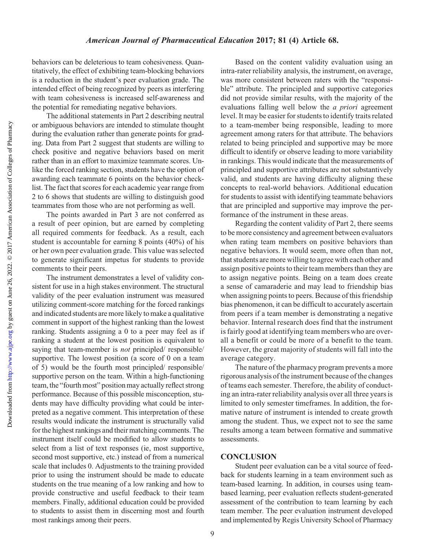behaviors can be deleterious to team cohesiveness. Quantitatively, the effect of exhibiting team-blocking behaviors is a reduction in the student's peer evaluation grade. The intended effect of being recognized by peers as interfering with team cohesiveness is increased self-awareness and the potential for remediating negative behaviors.

The additional statements in Part 2 describing neutral or ambiguous behaviors are intended to stimulate thought during the evaluation rather than generate points for grading. Data from Part 2 suggest that students are willing to check positive and negative behaviors based on merit rather than in an effort to maximize teammate scores. Unlike the forced ranking section, students have the option of awarding each teammate 6 points on the behavior checklist. The fact that scores for each academic year range from 2 to 6 shows that students are willing to distinguish good teammates from those who are not performing as well.

The points awarded in Part 3 are not conferred as a result of peer opinion, but are earned by completing all required comments for feedback. As a result, each student is accountable for earning 8 points (40%) of his or her own peer evaluation grade. This value was selected to generate significant impetus for students to provide comments to their peers.

The instrument demonstrates a level of validity consistent for use in a high stakes environment. The structural validity of the peer evaluation instrument was measured utilizing comment-score matching for the forced rankings and indicated students are more likely to make a qualitative comment in support of the highest ranking than the lowest ranking. Students assigning a 0 to a peer may feel as if ranking a student at the lowest position is equivalent to saying that team-member is *not* principled/ responsible/ supportive. The lowest position (a score of 0 on a team of 5) would be the fourth most principled/ responsible/ supportive person on the team. Within a high-functioning team, the "fourth most" position may actually reflect strong performance. Because of this possible misconception, students may have difficulty providing what could be interpreted as a negative comment. This interpretation of these results would indicate the instrument is structurally valid for the highest rankings and their matching comments. The instrument itself could be modified to allow students to select from a list of text responses (ie, most supportive, second most supportive, etc.) instead of from a numerical scale that includes 0. Adjustments to the training provided prior to using the instrument should be made to educate students on the true meaning of a low ranking and how to provide constructive and useful feedback to their team members. Finally, additional education could be provided to students to assist them in discerning most and fourth most rankings among their peers.

Based on the content validity evaluation using an intra-rater reliability analysis, the instrument, on average, was more consistent between raters with the "responsible" attribute. The principled and supportive categories did not provide similar results, with the majority of the evaluations falling well below the *a priori* agreement level. It may be easier for students to identify traits related to a team-member being responsible, leading to more agreement among raters for that attribute. The behaviors related to being principled and supportive may be more difficult to identify or observe leading to more variability in rankings. This would indicate that the measurements of principled and supportive attributes are not substantively valid, and students are having difficulty aligning these concepts to real-world behaviors. Additional education for students to assist with identifying teammate behaviors that are principled and supportive may improve the performance of the instrument in these areas.

Regarding the content validity of Part 2, there seems to be more consistency and agreement between evaluators when rating team members on positive behaviors than negative behaviors. It would seem, more often than not, that students are more willing to agree with each other and assign positive points to their team members than they are to assign negative points. Being on a team does create a sense of camaraderie and may lead to friendship bias when assigning points to peers. Because of this friendship bias phenomenon, it can be difficult to accurately ascertain from peers if a team member is demonstrating a negative behavior. Internal research does find that the instrument is fairly good at identifying team members who are overall a benefit or could be more of a benefit to the team. However, the great majority of students will fall into the average category.

The nature of the pharmacy program prevents a more rigorous analysis of the instrument because of the changes of teams each semester. Therefore, the ability of conducting an intra-rater reliability analysis over all three years is limited to only semester timeframes. In addition, the formative nature of instrument is intended to create growth among the student. Thus, we expect not to see the same results among a team between formative and summative assessments.

### **CONCLUSION**

Student peer evaluation can be a vital source of feedback for students learning in a team environment such as team-based learning. In addition, in courses using teambased learning, peer evaluation reflects student-generated assessment of the contribution to team learning by each team member. The peer evaluation instrument developed and implemented by Regis University School of Pharmacy